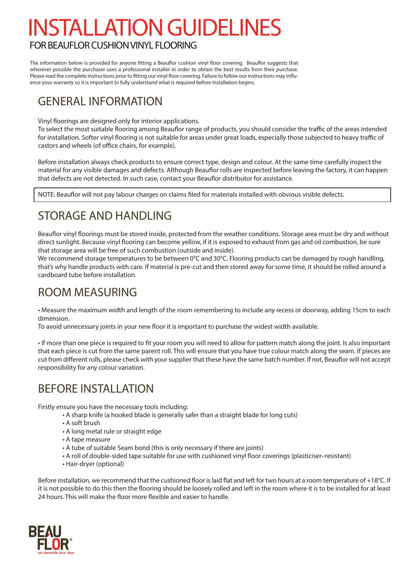# INSTALLATION GUIDELINES

# FOR BEAUFLOR CUSHION VINYL FLOORING

The information below is provided for anyone fitting a Beauflor cushion vinyl floor covering. Beauflor suggests that wherever possible the purchaser uses a professional installer in order to obtain the best results from their purchase. Please read the complete instructions prior to fitting our vinyl floor covering. Failure to follow our instructions may influence your warranty so it is important to fully understand what is required before installation begins.

# GENERAL INFORMATION

Vinyl floorings are designed only for interior applications.

To select the most suitable flooring among Beauflor range of products, you should consider the traffic of the areas intended for installation. Softer vinyl flooring is not suitable for areas under great loads, especially those subjected to heavy traffic of castors and wheels (of office chairs, for example).

Before installation always check products to ensure correct type, design and colour. At the same time carefully inspect the material for any visible damages and defects. Although Beauflor rolls are inspected before leaving the factory, it can happen that defects are not detected. In such case, contact your Beauflor distributor for assistance.

NOTE: Beauflor will not pay labour charges on claims filed for materials installed with obvious visible defects.

# STORAGE AND HANDLING

Beauflor vinyl floorings must be stored inside, protected from the weather conditions. Storage area must be dry and without direct sunlight. Because vinyl flooring can become yellow, if it is exposed to exhaust from gas and oil combustion, be sure that storage area will be free of such combustion (outside and inside).

We recommend storage temperatures to be between 0°C and 30°C. Flooring products can be damaged by rough handling, that's why handle products with care. If material is pre-cut and then stored away for some time, it should be rolled around a cardboard tube before installation.

# ROOM MEASURING

• Measure the maximum width and length of the room remembering to include any recess or doorway, adding 15cm to each dimension.

To avoid unnecessary joints in your new floor it is important to purchase the widest width available.

• If more than one piece is required to fit your room you will need to allow for pattern match along the joint. Is also important that each piece is cut from the same parent roll. This will ensure that you have true colour match along the seam. If pieces are cut from different rolls, please check with your supplier that these have the same batch number. If not, Beauflor will not accept responsibility for any colour variation.

# BEFORE INSTALLATION

Firstly ensure you have the necessary tools including:

- A sharp knife (a hooked blade is generally safer than a straight blade for long cuts)
- A soft brush
- A long metal rule or straight edge
- A tape measure
- A tube of suitable Seam bond (this is only necessary if there are joints)
- A roll of double-sided tape suitable for use with cushioned vinyl floor coverings (plasticiser–resistant)
- Hair-dryer (optional)

Before installation, we recommend that the cushioned floor is laid flat and left for two hours at a room temperature of +18°C. If it is not possible to do this then the flooring should be loosely rolled and left in the room where it is to be installed for at least 24 hours. This will make the floor more flexible and easier to handle.

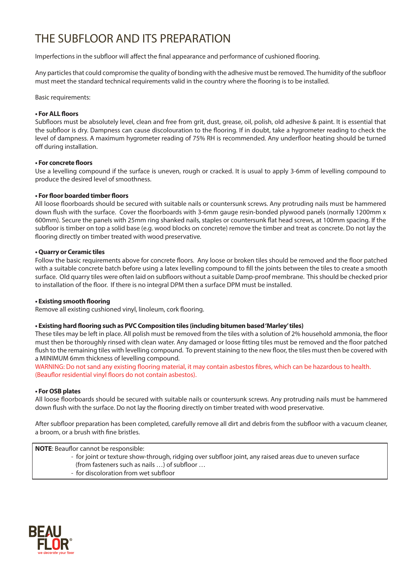# THE SUBFLOOR AND ITS PREPARATION

Imperfections in the subfloor will affect the final appearance and performance of cushioned flooring.

Any particles that could compromise the quality of bonding with the adhesive must be removed. The humidity of the subfloor must meet the standard technical requirements valid in the country where the flooring is to be installed.

Basic requirements:

# **• For ALL floors**

Subfloors must be absolutely level, clean and free from grit, dust, grease, oil, polish, old adhesive & paint. It is essential that the subfloor is dry. Dampness can cause discolouration to the flooring. If in doubt, take a hygrometer reading to check the level of dampness. A maximum hygrometer reading of 75% RH is recommended. Any underfloor heating should be turned off during installation.

# **• For concrete floors**

Use a levelling compound if the surface is uneven, rough or cracked. It is usual to apply 3-6mm of levelling compound to produce the desired level of smoothness.

# **• For floor boarded timber floors**

All loose floorboards should be secured with suitable nails or countersunk screws. Any protruding nails must be hammered down flush with the surface. Cover the floorboards with 3-6mm gauge resin-bonded plywood panels (normally 1200mm x 600mm). Secure the panels with 25mm ring shanked nails, staples or countersunk flat head screws, at 100mm spacing. If the subfloor is timber on top a solid base (e.g. wood blocks on concrete) remove the timber and treat as concrete. Do not lay the flooring directly on timber treated with wood preservative.

# **• Quarry or Ceramic tiles**

Follow the basic requirements above for concrete floors. Any loose or broken tiles should be removed and the floor patched with a suitable concrete batch before using a latex levelling compound to fill the joints between the tiles to create a smooth surface. Old quarry tiles were often laid on subfloors without a suitable Damp-proof membrane. This should be checked prior to installation of the floor. If there is no integral DPM then a surface DPM must be installed.

### **• Existing smooth flooring**

Remove all existing cushioned vinyl, linoleum, cork flooring.

### **• Existing hard flooring such as PVC Composition tiles (including bitumen based 'Marley' tiles)**

These tiles may be left in place. All polish must be removed from the tiles with a solution of 2% household ammonia, the floor must then be thoroughly rinsed with clean water. Any damaged or loose fitting tiles must be removed and the floor patched flush to the remaining tiles with levelling compound. To prevent staining to the new floor, the tiles must then be covered with a MINIMUM 6mm thickness of levelling compound.

WARNING: Do not sand any existing flooring material, it may contain asbestos fibres, which can be hazardous to health. (Beauflor residential vinyl floors do not contain asbestos).

### **• For OSB plates**

All loose floorboards should be secured with suitable nails or countersunk screws. Any protruding nails must be hammered down flush with the surface. Do not lay the flooring directly on timber treated with wood preservative.

After subfloor preparation has been completed, carefully remove all dirt and debris from the subfloor with a vacuum cleaner, a broom, or a brush with fine bristles.

**NOTE**: Beauflor cannot be responsible:

- for joint or texture show-through, ridging over subfloor joint, any raised areas due to uneven surface (from fasteners such as nails …) of subfloor …
- for discoloration from wet subfloor

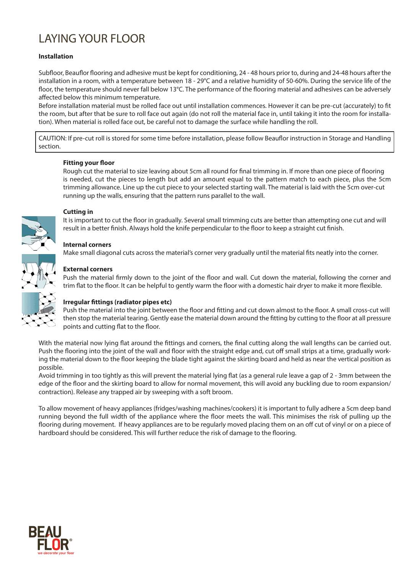# LAYING YOUR FLOOR

# **Installation**

Subfloor, Beauflor flooring and adhesive must be kept for conditioning, 24 - 48 hours prior to, during and 24-48 hours after the installation in a room, with a temperature between 18 - 29°C and a relative humidity of 50-60%. During the service life of the floor, the temperature should never fall below 13°C. The performance of the flooring material and adhesives can be adversely affected below this minimum temperature.

Before installation material must be rolled face out until installation commences. However it can be pre-cut (accurately) to fit the room, but after that be sure to roll face out again (do not roll the material face in, until taking it into the room for installation). When material is rolled face out, be careful not to damage the surface while handling the roll.

CAUTION: If pre-cut roll is stored for some time before installation, please follow Beauflor instruction in Storage and Handling section.

# **Fitting your floor**

Rough cut the material to size leaving about 5cm all round for final trimming in. If more than one piece of flooring is needed, cut the pieces to length but add an amount equal to the pattern match to each piece, plus the 5cm trimming allowance. Line up the cut piece to your selected starting wall. The material is laid with the 5cm over-cut running up the walls, ensuring that the pattern runs parallel to the wall.



# **Cutting in**

It is important to cut the floor in gradually. Several small trimming cuts are better than attempting one cut and will result in a better finish. Always hold the knife perpendicular to the floor to keep a straight cut finish.

# **Internal corners**

Make small diagonal cuts across the material's corner very gradually until the material fits neatly into the corner.



# **External corners**

Push the material firmly down to the joint of the floor and wall. Cut down the material, following the corner and trim flat to the floor. It can be helpful to gently warm the floor with a domestic hair dryer to make it more flexible.

# **Irregular fittings (radiator pipes etc)**

Push the material into the joint between the floor and fitting and cut down almost to the floor. A small cross-cut will then stop the material tearing. Gently ease the material down around the fitting by cutting to the floor at all pressure points and cutting flat to the floor.

With the material now lying flat around the fittings and corners, the final cutting along the wall lengths can be carried out. Push the flooring into the joint of the wall and floor with the straight edge and, cut off small strips at a time, gradually working the material down to the floor keeping the blade tight against the skirting board and held as near the vertical position as possible.

Avoid trimming in too tightly as this will prevent the material lying flat (as a general rule leave a gap of 2 - 3mm between the edge of the floor and the skirting board to allow for normal movement, this will avoid any buckling due to room expansion/ contraction). Release any trapped air by sweeping with a soft broom.

To allow movement of heavy appliances (fridges/washing machines/cookers) it is important to fully adhere a 5cm deep band running beyond the full width of the appliance where the floor meets the wall. This minimises the risk of pulling up the flooring during movement. If heavy appliances are to be regularly moved placing them on an off cut of vinyl or on a piece of hardboard should be considered. This will further reduce the risk of damage to the flooring.

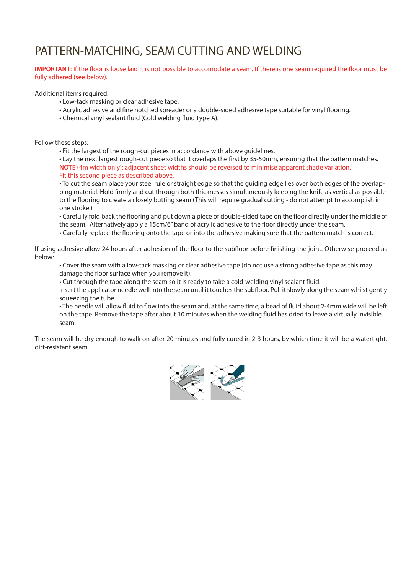# PATTERN-MATCHING, SEAM CUTTING AND WELDING

# **IMPORTANT**: If the floor is loose laid it is not possible to accomodate a seam. If there is one seam required the floor must be fully adhered (see below).

Additional items required:

- Low-tack masking or clear adhesive tape.
- Acrylic adhesive and fine notched spreader or a double-sided adhesive tape suitable for vinyl flooring.
- Chemical vinyl sealant fluid (Cold welding fluid Type A).

Follow these steps:

• Fit the largest of the rough-cut pieces in accordance with above guidelines.

• Lay the next largest rough-cut piece so that it overlaps the first by 35-50mm, ensuring that the pattern matches. **NOTE** (4m width only): adjacent sheet widths should be reversed to minimise apparent shade variation. Fit this second piece as described above.

• To cut the seam place your steel rule or straight edge so that the guiding edge lies over both edges of the overlapping material. Hold firmly and cut through both thicknesses simultaneously keeping the knife as vertical as possible to the flooring to create a closely butting seam (This will require gradual cutting - do not attempt to accomplish in one stroke.)

• Carefully fold back the flooring and put down a piece of double-sided tape on the floor directly under the middle of the seam. Alternatively apply a 15cm/6" band of acrylic adhesive to the floor directly under the seam.

• Carefully replace the flooring onto the tape or into the adhesive making sure that the pattern match is correct.

If using adhesive allow 24 hours after adhesion of the floor to the subfloor before finishing the joint. Otherwise proceed as below:

• Cover the seam with a low-tack masking or clear adhesive tape (do not use a strong adhesive tape as this may damage the floor surface when you remove it).

• Cut through the tape along the seam so it is ready to take a cold-welding vinyl sealant fluid.

Insert the applicator needle well into the seam until it touches the subfloor. Pull it slowly along the seam whilst gently squeezing the tube.

• The needle will allow fluid to flow into the seam and, at the same time, a bead of fluid about 2-4mm wide will be left on the tape. Remove the tape after about 10 minutes when the welding fluid has dried to leave a virtually invisible seam.

The seam will be dry enough to walk on after 20 minutes and fully cured in 2-3 hours, by which time it will be a watertight, dirt-resistant seam.